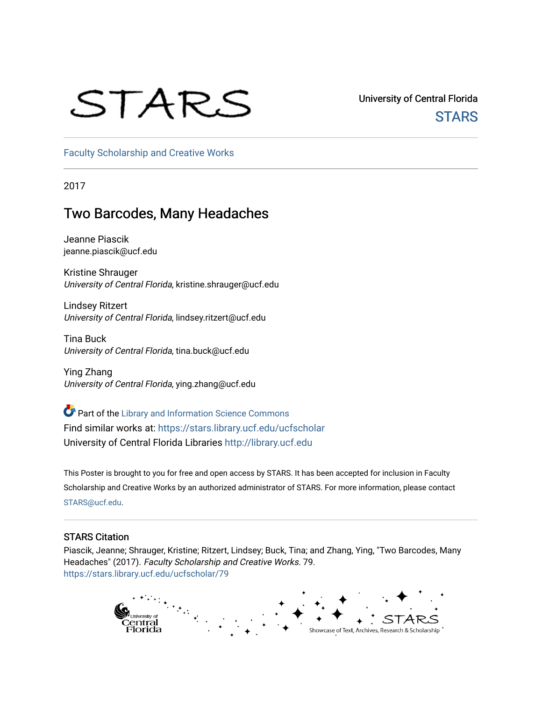## STARS

University of Central Florida **STARS** 

[Faculty Scholarship and Creative Works](https://stars.library.ucf.edu/ucfscholar) 

2017

#### Two Barcodes, Many Headaches

Jeanne Piascik jeanne.piascik@ucf.edu

Kristine Shrauger University of Central Florida, kristine.shrauger@ucf.edu

Lindsey Ritzert University of Central Florida, lindsey.ritzert@ucf.edu

Tina Buck University of Central Florida, tina.buck@ucf.edu

Ying Zhang University of Central Florida, ying.zhang@ucf.edu

Part of the [Library and Information Science Commons](http://network.bepress.com/hgg/discipline/1018?utm_source=stars.library.ucf.edu%2Fucfscholar%2F79&utm_medium=PDF&utm_campaign=PDFCoverPages)  Find similar works at: <https://stars.library.ucf.edu/ucfscholar> University of Central Florida Libraries [http://library.ucf.edu](http://library.ucf.edu/) 

This Poster is brought to you for free and open access by STARS. It has been accepted for inclusion in Faculty Scholarship and Creative Works by an authorized administrator of STARS. For more information, please contact [STARS@ucf.edu](mailto:STARS@ucf.edu).

#### STARS Citation

Piascik, Jeanne; Shrauger, Kristine; Ritzert, Lindsey; Buck, Tina; and Zhang, Ying, "Two Barcodes, Many Headaches" (2017). Faculty Scholarship and Creative Works. 79. [https://stars.library.ucf.edu/ucfscholar/79](https://stars.library.ucf.edu/ucfscholar/79?utm_source=stars.library.ucf.edu%2Fucfscholar%2F79&utm_medium=PDF&utm_campaign=PDFCoverPages)